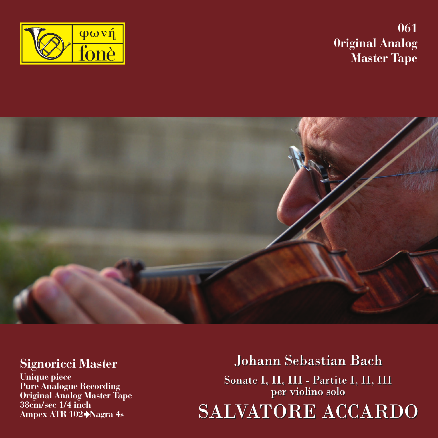**061 0riginal Analog Master Tape**





### **Signoricci Master**

**Unique piece Pure Analogue Recording Original Analog Master Tape 38cm/sec 1/4 inch Ampex ATR 102 Nagra 4s**

**Johann Sebastian Bach** Sonate I, II, III - Partite I, II, III<br>per violino solo SALVATORE ACCARDO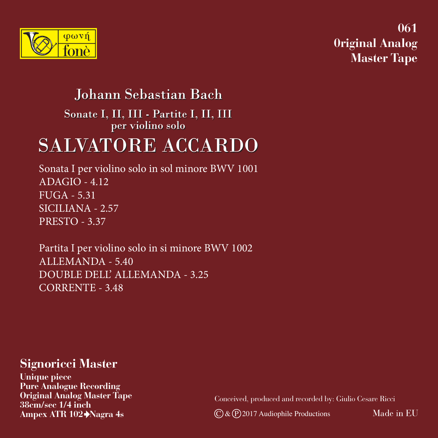

**061 0riginal Analog Master Tape**

## Johann Sebastian Bach

Sonate I, II, III - Partite I, II, III per violino solo

# **SALVATORE ACCARDO**

Sonata I per violino solo in sol minore BWV 1001 ADAGIO - 4.12 FUGA - 5.31 SICILIANA - 2.57 PRESTO - 3.37

Partita I per violino solo in si minore BWV 1002 ALLEMANDA - 5.40 DOUBLE DELL' ALLEMANDA - 3.25 CORRENTE - 3.48

### **Signoricci Master**

**Unique piece Pure Analogue Recording Original Analog Master Tape 38cm/sec 1/4 inch Ampex ATR 102 Nagra 4s** C & P 2017 Audiophile Productions

Conceived, produced and recorded by: Giulio Cesare Ricci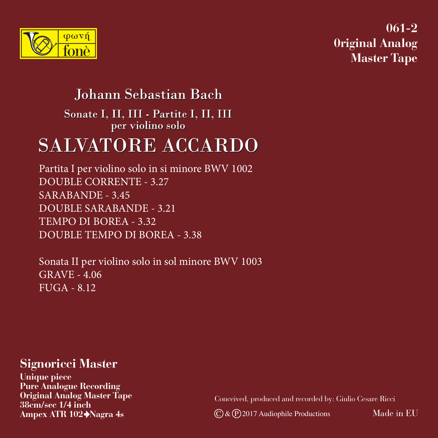

**061-2 0riginal Analog Master Tape**

### Johann Sebastian Bach

Sonate I, II, III - Partite I, II, III per violino solo

# **SALVATORE ACCARDO**

Partita I per violino solo in si minore BWV 1002 DOUBLE CORRENTE - 3.27 SARABANDE - 3.45 DOUBLE SARABANDE - 3.21 TEMPO DI BOREA - 3.32 DOUBLE TEMPO DI BOREA - 3.38

Sonata II per violino solo in sol minore BWV 1003 GRAVE - 4.06 FUGA - 8.12

### **Signoricci Master**

**Unique piece Pure Analogue Recording Original Analog Master Tape 38cm/sec 1/4 inch**

Conceived, produced and recorded by: Giulio Cesare Ricci

**C** & **P** 2017 Audiophile Productions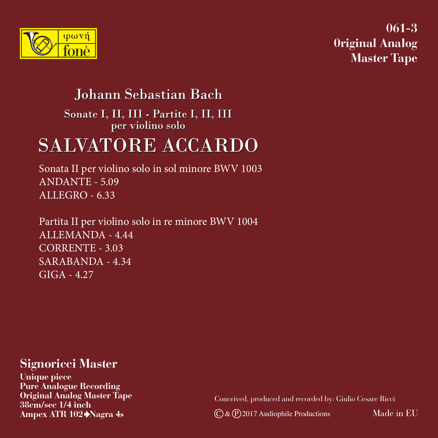

**061-3 0riginal Analog Master Tape**

## Johann Sebastian Bach

Sonate I, II, III - Partite I, II, III per violino solo

## **SALVATORE ACCARDO**

Sonata II per violino solo in sol minore BWV 1003 ANDANTE - 5.09 ALLEGRO - 6.33

Partita II per violino solo in re minore BWV 1004 ALLEMANDA - 4.44 CORRENTE - 3.03 SARABANDA - 4.34  $GIGA - 4.27$ 

### **Signoricci Master**

**Unique piece Pure Analogue Recording Original Analog Master Tape 38cm/sec 1/4 inch Ampex ATR 102 Nagra 4s** C & P 2017 Audiophile Productions

Conceived, produced and recorded by: Giulio Cesare Ricci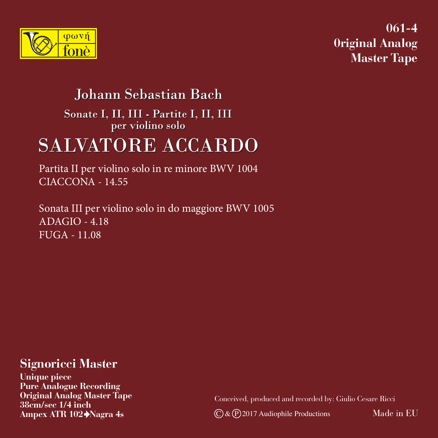

**061-4 0riginal Analog Master Tape**

### Johann Sebastian Bach

Sonate I, II, III - Partite I, II, III per violino solo

# **SALVATORE ACCARDO**

Partita II per violino solo in re minore BWV 1004 CIACCONA - 14.55

Sonata III per violino solo in do maggiore BWV 1005 ADAGIO - 4.18 FUGA - 11.08

### **Signoricci Master**

**Unique piece Pure Analogue Recording Original Analog Master Tape 38cm/sec 1/4 inch**

Conceived, produced and recorded by: Giulio Cesare Ricci

**Ampex ATR 102 Nagra 4s** C & P 2017 Audiophile Productions